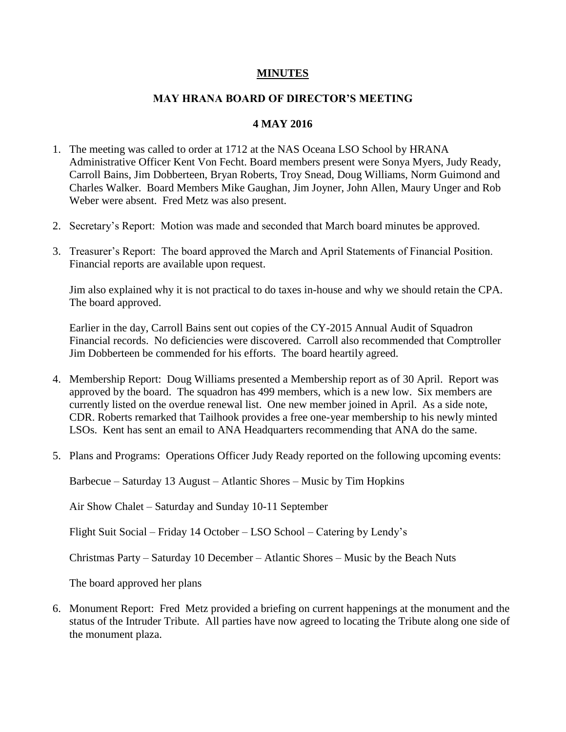## **MINUTES**

## **MAY HRANA BOARD OF DIRECTOR'S MEETING**

## **4 MAY 2016**

- 1. The meeting was called to order at 1712 at the NAS Oceana LSO School by HRANA Administrative Officer Kent Von Fecht. Board members present were Sonya Myers, Judy Ready, Carroll Bains, Jim Dobberteen, Bryan Roberts, Troy Snead, Doug Williams, Norm Guimond and Charles Walker. Board Members Mike Gaughan, Jim Joyner, John Allen, Maury Unger and Rob Weber were absent. Fred Metz was also present.
- 2. Secretary's Report: Motion was made and seconded that March board minutes be approved.
- 3. Treasurer's Report: The board approved the March and April Statements of Financial Position. Financial reports are available upon request.

Jim also explained why it is not practical to do taxes in-house and why we should retain the CPA. The board approved.

Earlier in the day, Carroll Bains sent out copies of the CY-2015 Annual Audit of Squadron Financial records. No deficiencies were discovered. Carroll also recommended that Comptroller Jim Dobberteen be commended for his efforts. The board heartily agreed.

- 4. Membership Report: Doug Williams presented a Membership report as of 30 April. Report was approved by the board. The squadron has 499 members, which is a new low. Six members are currently listed on the overdue renewal list. One new member joined in April. As a side note, CDR. Roberts remarked that Tailhook provides a free one-year membership to his newly minted LSOs. Kent has sent an email to ANA Headquarters recommending that ANA do the same.
- 5. Plans and Programs: Operations Officer Judy Ready reported on the following upcoming events:

Barbecue – Saturday 13 August – Atlantic Shores – Music by Tim Hopkins

Air Show Chalet – Saturday and Sunday 10-11 September

Flight Suit Social – Friday 14 October – LSO School – Catering by Lendy's

Christmas Party – Saturday 10 December – Atlantic Shores – Music by the Beach Nuts

The board approved her plans

6. Monument Report: Fred Metz provided a briefing on current happenings at the monument and the status of the Intruder Tribute. All parties have now agreed to locating the Tribute along one side of the monument plaza.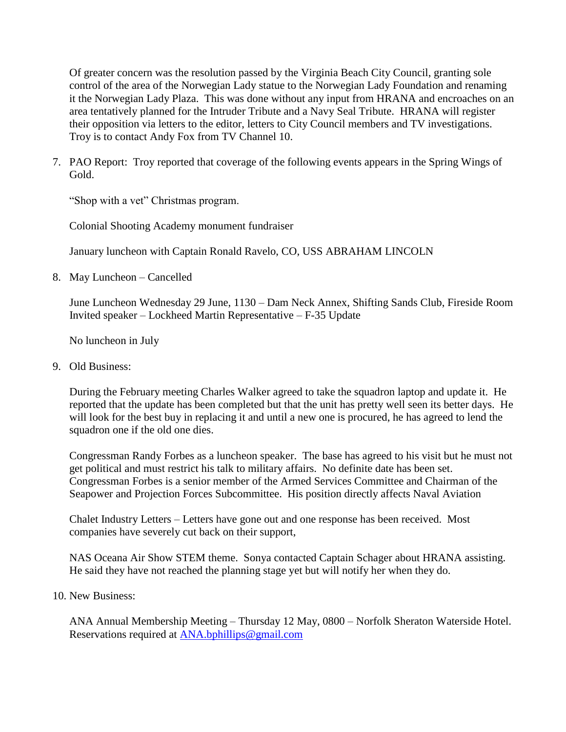Of greater concern was the resolution passed by the Virginia Beach City Council, granting sole control of the area of the Norwegian Lady statue to the Norwegian Lady Foundation and renaming it the Norwegian Lady Plaza. This was done without any input from HRANA and encroaches on an area tentatively planned for the Intruder Tribute and a Navy Seal Tribute. HRANA will register their opposition via letters to the editor, letters to City Council members and TV investigations. Troy is to contact Andy Fox from TV Channel 10.

7. PAO Report: Troy reported that coverage of the following events appears in the Spring Wings of Gold.

"Shop with a vet" Christmas program.

Colonial Shooting Academy monument fundraiser

January luncheon with Captain Ronald Ravelo, CO, USS ABRAHAM LINCOLN

8. May Luncheon – Cancelled

 June Luncheon Wednesday 29 June, 1130 – Dam Neck Annex, Shifting Sands Club, Fireside Room Invited speaker – Lockheed Martin Representative – F-35 Update

No luncheon in July

9. Old Business:

During the February meeting Charles Walker agreed to take the squadron laptop and update it. He reported that the update has been completed but that the unit has pretty well seen its better days. He will look for the best buy in replacing it and until a new one is procured, he has agreed to lend the squadron one if the old one dies.

Congressman Randy Forbes as a luncheon speaker. The base has agreed to his visit but he must not get political and must restrict his talk to military affairs. No definite date has been set. Congressman Forbes is a senior member of the Armed Services Committee and Chairman of the Seapower and Projection Forces Subcommittee. His position directly affects Naval Aviation

Chalet Industry Letters – Letters have gone out and one response has been received. Most companies have severely cut back on their support,

NAS Oceana Air Show STEM theme. Sonya contacted Captain Schager about HRANA assisting. He said they have not reached the planning stage yet but will notify her when they do.

10. New Business:

ANA Annual Membership Meeting – Thursday 12 May, 0800 – Norfolk Sheraton Waterside Hotel. Reservations required at [ANA.bphillips@gmail.com](mailto:ANA.bphillips@gmail.com)